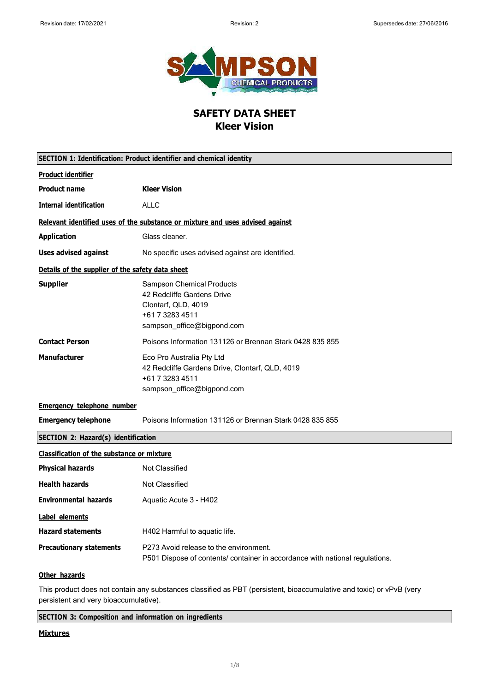

# **SAFETY DATA SHEET Kleer Vision**

| SECTION 1: Identification: Product identifier and chemical identity |                                                                                                                                        |
|---------------------------------------------------------------------|----------------------------------------------------------------------------------------------------------------------------------------|
| <b>Product identifier</b>                                           |                                                                                                                                        |
| <b>Product name</b>                                                 | <b>Kleer Vision</b>                                                                                                                    |
| <b>Internal identification</b>                                      | <b>ALLC</b>                                                                                                                            |
|                                                                     | Relevant identified uses of the substance or mixture and uses advised against                                                          |
| <b>Application</b>                                                  | Glass cleaner.                                                                                                                         |
| <b>Uses advised against</b>                                         | No specific uses advised against are identified.                                                                                       |
| Details of the supplier of the safety data sheet                    |                                                                                                                                        |
| <b>Supplier</b>                                                     | <b>Sampson Chemical Products</b><br>42 Redcliffe Gardens Drive<br>Clontarf, QLD, 4019<br>+61 7 3283 4511<br>sampson_office@bigpond.com |
| <b>Contact Person</b>                                               | Poisons Information 131126 or Brennan Stark 0428 835 855                                                                               |
| <b>Manufacturer</b>                                                 | Eco Pro Australia Pty Ltd<br>42 Redcliffe Gardens Drive, Clontarf, QLD, 4019<br>+61 7 3283 4511<br>sampson_office@bigpond.com          |
| <b>Emergency telephone number</b>                                   |                                                                                                                                        |
| <b>Emergency telephone</b>                                          | Poisons Information 131126 or Brennan Stark 0428 835 855                                                                               |
| <b>SECTION 2: Hazard(s) identification</b>                          |                                                                                                                                        |
| <b>Classification of the substance or mixture</b>                   |                                                                                                                                        |
| <b>Physical hazards</b>                                             | <b>Not Classified</b>                                                                                                                  |
| <b>Health hazards</b>                                               | <b>Not Classified</b>                                                                                                                  |
| <b>Environmental hazards</b>                                        | Aquatic Acute 3 - H402                                                                                                                 |
| <b>Label elements</b>                                               |                                                                                                                                        |
| <b>Hazard statements</b>                                            | H402 Harmful to aquatic life.                                                                                                          |
| <b>Precautionary statements</b>                                     | P273 Avoid release to the environment.<br>P501 Dispose of contents/ container in accordance with national regulations.                 |
| Other hazards                                                       |                                                                                                                                        |
|                                                                     | This product does not contain any substances classified as PBT (persistent, bioaccumulative and toxic) or vPvB (very                   |

persistent and very bioaccumulative).

**SECTION 3: Composition and information on ingredients**

# **Mixtures**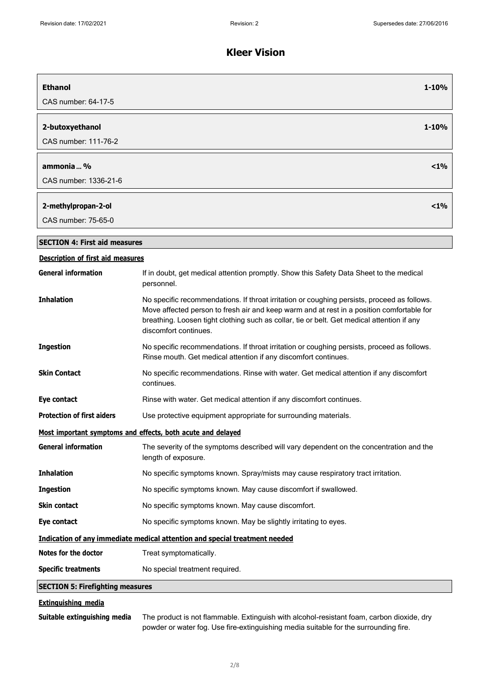| <b>Ethanol</b>                           | 1-10%                                                                                                                                                                                                                                                                                                           |
|------------------------------------------|-----------------------------------------------------------------------------------------------------------------------------------------------------------------------------------------------------------------------------------------------------------------------------------------------------------------|
| CAS number: 64-17-5                      |                                                                                                                                                                                                                                                                                                                 |
| 2-butoxyethanol                          | 1-10%                                                                                                                                                                                                                                                                                                           |
| CAS number: 111-76-2                     |                                                                                                                                                                                                                                                                                                                 |
|                                          |                                                                                                                                                                                                                                                                                                                 |
| ammonia  %                               | $< 1\%$                                                                                                                                                                                                                                                                                                         |
| CAS number: 1336-21-6                    |                                                                                                                                                                                                                                                                                                                 |
| 2-methylpropan-2-ol                      | $< 1\%$                                                                                                                                                                                                                                                                                                         |
| CAS number: 75-65-0                      |                                                                                                                                                                                                                                                                                                                 |
| <b>SECTION 4: First aid measures</b>     |                                                                                                                                                                                                                                                                                                                 |
| <b>Description of first aid measures</b> |                                                                                                                                                                                                                                                                                                                 |
| <b>General information</b>               | If in doubt, get medical attention promptly. Show this Safety Data Sheet to the medical<br>personnel.                                                                                                                                                                                                           |
| <b>Inhalation</b>                        | No specific recommendations. If throat irritation or coughing persists, proceed as follows.<br>Move affected person to fresh air and keep warm and at rest in a position comfortable for<br>breathing. Loosen tight clothing such as collar, tie or belt. Get medical attention if any<br>discomfort continues. |
| <b>Ingestion</b>                         | No specific recommendations. If throat irritation or coughing persists, proceed as follows.<br>Rinse mouth. Get medical attention if any discomfort continues.                                                                                                                                                  |
| <b>Skin Contact</b>                      | No specific recommendations. Rinse with water. Get medical attention if any discomfort<br>continues.                                                                                                                                                                                                            |
| Eye contact                              | Rinse with water. Get medical attention if any discomfort continues.                                                                                                                                                                                                                                            |
| <b>Protection of first aiders</b>        | Use protective equipment appropriate for surrounding materials.                                                                                                                                                                                                                                                 |
|                                          | Most important symptoms and effects, both acute and delayed                                                                                                                                                                                                                                                     |
| <b>General information</b>               | The severity of the symptoms described will vary dependent on the concentration and the<br>length of exposure.                                                                                                                                                                                                  |
| <b>Inhalation</b>                        | No specific symptoms known. Spray/mists may cause respiratory tract irritation.                                                                                                                                                                                                                                 |
| <b>Ingestion</b>                         | No specific symptoms known. May cause discomfort if swallowed.                                                                                                                                                                                                                                                  |
| <b>Skin contact</b>                      | No specific symptoms known. May cause discomfort.                                                                                                                                                                                                                                                               |
| Eye contact                              | No specific symptoms known. May be slightly irritating to eyes.                                                                                                                                                                                                                                                 |
|                                          | Indication of any immediate medical attention and special treatment needed                                                                                                                                                                                                                                      |
| Notes for the doctor                     | Treat symptomatically.                                                                                                                                                                                                                                                                                          |
| <b>Specific treatments</b>               | No special treatment required.                                                                                                                                                                                                                                                                                  |
| <b>SECTION 5: Firefighting measures</b>  |                                                                                                                                                                                                                                                                                                                 |
| Eytinguiching modia                      |                                                                                                                                                                                                                                                                                                                 |

**Extinguishing media**

**Suitable extinguishing media** The product is not flammable. Extinguish with alcohol-resistant foam, carbon dioxide, dry powder or water fog. Use fire-extinguishing media suitable for the surrounding fire.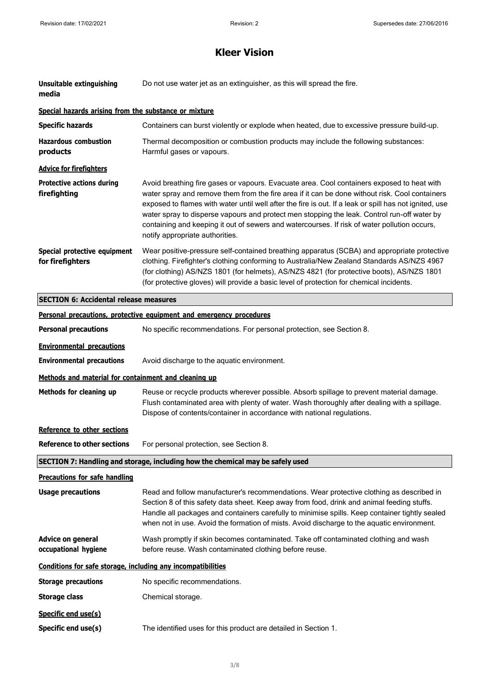| Unsuitable extinguishing<br>media                            | Do not use water jet as an extinguisher, as this will spread the fire.                                                                                                                                                                                                                                                                                                                                                                                                                                                                   |
|--------------------------------------------------------------|------------------------------------------------------------------------------------------------------------------------------------------------------------------------------------------------------------------------------------------------------------------------------------------------------------------------------------------------------------------------------------------------------------------------------------------------------------------------------------------------------------------------------------------|
| Special hazards arising from the substance or mixture        |                                                                                                                                                                                                                                                                                                                                                                                                                                                                                                                                          |
| <b>Specific hazards</b>                                      | Containers can burst violently or explode when heated, due to excessive pressure build-up.                                                                                                                                                                                                                                                                                                                                                                                                                                               |
| <b>Hazardous combustion</b><br>products                      | Thermal decomposition or combustion products may include the following substances:<br>Harmful gases or vapours.                                                                                                                                                                                                                                                                                                                                                                                                                          |
| <b>Advice for firefighters</b>                               |                                                                                                                                                                                                                                                                                                                                                                                                                                                                                                                                          |
| <b>Protective actions during</b><br>firefighting             | Avoid breathing fire gases or vapours. Evacuate area. Cool containers exposed to heat with<br>water spray and remove them from the fire area if it can be done without risk. Cool containers<br>exposed to flames with water until well after the fire is out. If a leak or spill has not ignited, use<br>water spray to disperse vapours and protect men stopping the leak. Control run-off water by<br>containing and keeping it out of sewers and watercourses. If risk of water pollution occurs,<br>notify appropriate authorities. |
| Special protective equipment<br>for firefighters             | Wear positive-pressure self-contained breathing apparatus (SCBA) and appropriate protective<br>clothing. Firefighter's clothing conforming to Australia/New Zealand Standards AS/NZS 4967<br>(for clothing) AS/NZS 1801 (for helmets), AS/NZS 4821 (for protective boots), AS/NZS 1801<br>(for protective gloves) will provide a basic level of protection for chemical incidents.                                                                                                                                                       |
| <b>SECTION 6: Accidental release measures</b>                |                                                                                                                                                                                                                                                                                                                                                                                                                                                                                                                                          |
|                                                              | Personal precautions, protective equipment and emergency procedures                                                                                                                                                                                                                                                                                                                                                                                                                                                                      |
| <b>Personal precautions</b>                                  | No specific recommendations. For personal protection, see Section 8.                                                                                                                                                                                                                                                                                                                                                                                                                                                                     |
| <b>Environmental precautions</b>                             |                                                                                                                                                                                                                                                                                                                                                                                                                                                                                                                                          |
| <b>Environmental precautions</b>                             | Avoid discharge to the aquatic environment.                                                                                                                                                                                                                                                                                                                                                                                                                                                                                              |
| Methods and material for containment and cleaning up         |                                                                                                                                                                                                                                                                                                                                                                                                                                                                                                                                          |
| Methods for cleaning up                                      | Reuse or recycle products wherever possible. Absorb spillage to prevent material damage.<br>Flush contaminated area with plenty of water. Wash thoroughly after dealing with a spillage.<br>Dispose of contents/container in accordance with national regulations.                                                                                                                                                                                                                                                                       |
| Reference to other sections                                  |                                                                                                                                                                                                                                                                                                                                                                                                                                                                                                                                          |
|                                                              | <b>Reference to other sections</b> For personal protection, see Section 8.                                                                                                                                                                                                                                                                                                                                                                                                                                                               |
|                                                              | SECTION 7: Handling and storage, including how the chemical may be safely used                                                                                                                                                                                                                                                                                                                                                                                                                                                           |
| <b>Precautions for safe handling</b>                         |                                                                                                                                                                                                                                                                                                                                                                                                                                                                                                                                          |
| <b>Usage precautions</b>                                     | Read and follow manufacturer's recommendations. Wear protective clothing as described in<br>Section 8 of this safety data sheet. Keep away from food, drink and animal feeding stuffs.<br>Handle all packages and containers carefully to minimise spills. Keep container tightly sealed<br>when not in use. Avoid the formation of mists. Avoid discharge to the aquatic environment.                                                                                                                                                   |
| <b>Advice on general</b><br>occupational hygiene             | Wash promptly if skin becomes contaminated. Take off contaminated clothing and wash<br>before reuse. Wash contaminated clothing before reuse.                                                                                                                                                                                                                                                                                                                                                                                            |
| Conditions for safe storage, including any incompatibilities |                                                                                                                                                                                                                                                                                                                                                                                                                                                                                                                                          |
| <b>Storage precautions</b>                                   | No specific recommendations.                                                                                                                                                                                                                                                                                                                                                                                                                                                                                                             |
| <b>Storage class</b>                                         | Chemical storage.                                                                                                                                                                                                                                                                                                                                                                                                                                                                                                                        |
| Specific end use(s)<br>Specific end use(s)                   | The identified uses for this product are detailed in Section 1.                                                                                                                                                                                                                                                                                                                                                                                                                                                                          |
|                                                              |                                                                                                                                                                                                                                                                                                                                                                                                                                                                                                                                          |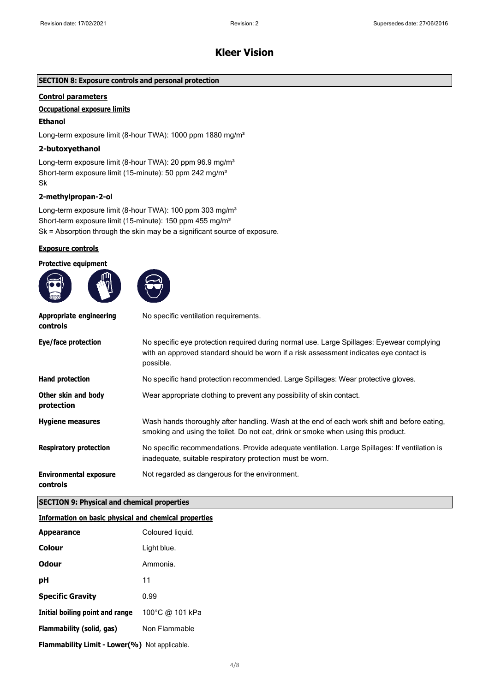# **SECTION 8: Exposure controls and personal protection**

# **Control parameters**

# **Occupational exposure limits**

# **Ethanol**

Long-term exposure limit (8-hour TWA): 1000 ppm 1880 mg/m<sup>3</sup>

### **2-butoxyethanol**

Long-term exposure limit (8-hour TWA): 20 ppm 96.9 mg/m<sup>3</sup> Short-term exposure limit (15-minute): 50 ppm 242 mg/m<sup>3</sup> Sk

# **2-methylpropan-2-ol**

Long-term exposure limit (8-hour TWA): 100 ppm 303 mg/m<sup>3</sup> Short-term exposure limit (15-minute): 150 ppm 455 mg/m<sup>3</sup> Sk = Absorption through the skin may be a significant source of exposure.

### **Exposure controls**

**Protective equipment**



| Appropriate engineering<br>controls       | No specific ventilation requirements.                                                                                                                                                            |
|-------------------------------------------|--------------------------------------------------------------------------------------------------------------------------------------------------------------------------------------------------|
| Eye/face protection                       | No specific eye protection required during normal use. Large Spillages: Eyewear complying<br>with an approved standard should be worn if a risk assessment indicates eye contact is<br>possible. |
| Hand protection                           | No specific hand protection recommended. Large Spillages: Wear protective gloves.                                                                                                                |
| Other skin and body<br>protection         | Wear appropriate clothing to prevent any possibility of skin contact.                                                                                                                            |
| <b>Hygiene measures</b>                   | Wash hands thoroughly after handling. Wash at the end of each work shift and before eating,<br>smoking and using the toilet. Do not eat, drink or smoke when using this product.                 |
| <b>Respiratory protection</b>             | No specific recommendations. Provide adequate ventilation. Large Spillages: If ventilation is<br>inadequate, suitable respiratory protection must be worn.                                       |
| <b>Environmental exposure</b><br>controls | Not regarded as dangerous for the environment.                                                                                                                                                   |

### **SECTION 9: Physical and chemical properties**

#### **Information on basic physical and chemical properties**

| <b>Appearance</b>                                    | Coloured liquid. |
|------------------------------------------------------|------------------|
| Colour                                               | Light blue.      |
| <b>Odour</b>                                         | Ammonia.         |
| рH                                                   | 11               |
| <b>Specific Gravity</b>                              | 0.99             |
| Initial boiling point and range                      | 100°C @ 101 kPa  |
| Flammability (solid, gas)                            | Non Flammable    |
| <b>Flammability Limit - Lower(%)</b> Not applicable. |                  |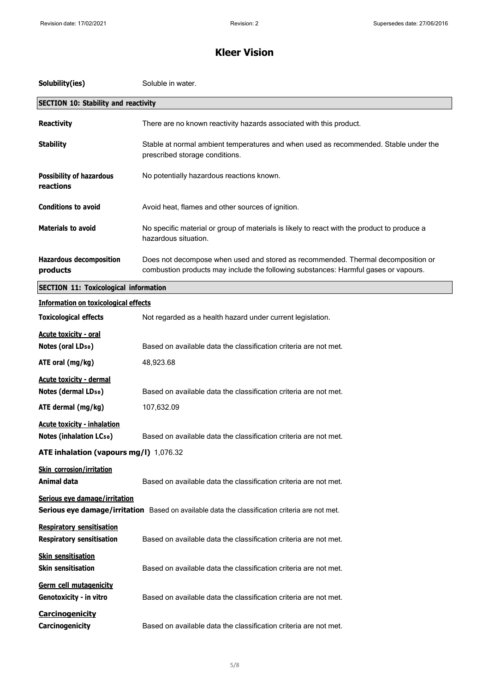| Solubility(ies)                                                      | Soluble in water.                                                                                                                                                       |
|----------------------------------------------------------------------|-------------------------------------------------------------------------------------------------------------------------------------------------------------------------|
| <b>SECTION 10: Stability and reactivity</b>                          |                                                                                                                                                                         |
| <b>Reactivity</b>                                                    | There are no known reactivity hazards associated with this product.                                                                                                     |
| <b>Stability</b>                                                     | Stable at normal ambient temperatures and when used as recommended. Stable under the<br>prescribed storage conditions.                                                  |
| <b>Possibility of hazardous</b><br>reactions                         | No potentially hazardous reactions known.                                                                                                                               |
| <b>Conditions to avoid</b>                                           | Avoid heat, flames and other sources of ignition.                                                                                                                       |
| <b>Materials to avoid</b>                                            | No specific material or group of materials is likely to react with the product to produce a<br>hazardous situation.                                                     |
| <b>Hazardous decomposition</b><br>products                           | Does not decompose when used and stored as recommended. Thermal decomposition or<br>combustion products may include the following substances: Harmful gases or vapours. |
| <b>SECTION 11: Toxicological information</b>                         |                                                                                                                                                                         |
| <b>Information on toxicological effects</b>                          |                                                                                                                                                                         |
| <b>Toxicological effects</b>                                         | Not regarded as a health hazard under current legislation.                                                                                                              |
| <b>Acute toxicity - oral</b><br>Notes (oral LD <sub>50</sub> )       | Based on available data the classification criteria are not met.                                                                                                        |
| ATE oral (mg/kg)                                                     | 48,923.68                                                                                                                                                               |
| <b>Acute toxicity - dermal</b><br>Notes (dermal LD <sub>50</sub> )   | Based on available data the classification criteria are not met.                                                                                                        |
| ATE dermal (mg/kg)                                                   | 107,632.09                                                                                                                                                              |
| <b>Acute toxicity - inhalation</b><br><b>Notes (inhalation LCso)</b> | Based on available data the classification criteria are not met.                                                                                                        |
| ATE inhalation (vapours mg/l) 1,076.32                               |                                                                                                                                                                         |
| <b>Skin corrosion/irritation</b><br>Animal data                      | Based on available data the classification criteria are not met.                                                                                                        |
| Serious eye damage/irritation                                        | Serious eye damage/irritation Based on available data the classification criteria are not met.                                                                          |
| <b>Respiratory sensitisation</b><br><b>Respiratory sensitisation</b> | Based on available data the classification criteria are not met.                                                                                                        |
| <b>Skin sensitisation</b><br><b>Skin sensitisation</b>               | Based on available data the classification criteria are not met.                                                                                                        |
| Germ cell mutagenicity<br>Genotoxicity - in vitro                    | Based on available data the classification criteria are not met.                                                                                                        |
| <b>Carcinogenicity</b><br>Carcinogenicity                            | Based on available data the classification criteria are not met.                                                                                                        |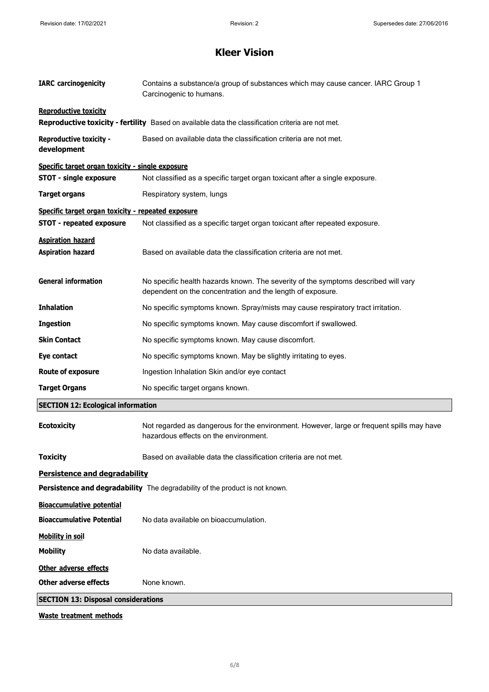| <b>IARC</b> carcinogenicity                        | Contains a substance/a group of substances which may cause cancer. IARC Group 1<br>Carcinogenic to humans.                                       |
|----------------------------------------------------|--------------------------------------------------------------------------------------------------------------------------------------------------|
| <b>Reproductive toxicity</b>                       |                                                                                                                                                  |
|                                                    | Reproductive toxicity - fertility Based on available data the classification criteria are not met.                                               |
| <b>Reproductive toxicity -</b><br>development      | Based on available data the classification criteria are not met.                                                                                 |
| Specific target organ toxicity - single exposure   |                                                                                                                                                  |
| <b>STOT - single exposure</b>                      | Not classified as a specific target organ toxicant after a single exposure.                                                                      |
| <b>Target organs</b>                               | Respiratory system, lungs                                                                                                                        |
| Specific target organ toxicity - repeated exposure |                                                                                                                                                  |
| <b>STOT - repeated exposure</b>                    | Not classified as a specific target organ toxicant after repeated exposure.                                                                      |
| <b>Aspiration hazard</b>                           |                                                                                                                                                  |
| <b>Aspiration hazard</b>                           | Based on available data the classification criteria are not met.                                                                                 |
| <b>General information</b>                         | No specific health hazards known. The severity of the symptoms described will vary<br>dependent on the concentration and the length of exposure. |
| <b>Inhalation</b>                                  | No specific symptoms known. Spray/mists may cause respiratory tract irritation.                                                                  |
| <b>Ingestion</b>                                   | No specific symptoms known. May cause discomfort if swallowed.                                                                                   |
| <b>Skin Contact</b>                                | No specific symptoms known. May cause discomfort.                                                                                                |
| Eye contact                                        | No specific symptoms known. May be slightly irritating to eyes.                                                                                  |
| <b>Route of exposure</b>                           | Ingestion Inhalation Skin and/or eye contact                                                                                                     |
| <b>Target Organs</b>                               | No specific target organs known.                                                                                                                 |
| <b>SECTION 12: Ecological information</b>          |                                                                                                                                                  |
| <b>Ecotoxicity</b>                                 | Not regarded as dangerous for the environment. However, large or frequent spills may have<br>hazardous effects on the environment.               |
| <b>Toxicity</b>                                    | Based on available data the classification criteria are not met.                                                                                 |
| Persistence and degradability                      |                                                                                                                                                  |
|                                                    | Persistence and degradability The degradability of the product is not known.                                                                     |
| <b>Bioaccumulative potential</b>                   |                                                                                                                                                  |
| <b>Bioaccumulative Potential</b>                   | No data available on bioaccumulation.                                                                                                            |
| <b>Mobility in soil</b>                            |                                                                                                                                                  |
| <b>Mobility</b>                                    | No data available.                                                                                                                               |
| Other adverse effects                              |                                                                                                                                                  |
| <b>Other adverse effects</b>                       | None known.                                                                                                                                      |
| <b>SECTION 13: Disposal considerations</b>         |                                                                                                                                                  |
|                                                    |                                                                                                                                                  |

**Waste treatment methods**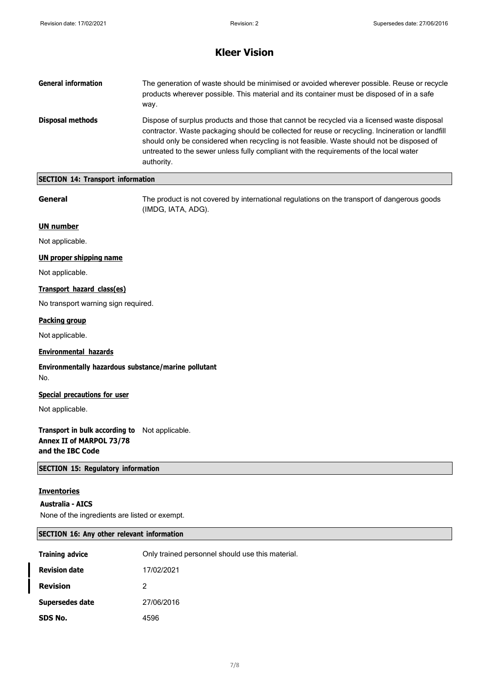| <b>General information</b> | The generation of waste should be minimised or avoided wherever possible. Reuse or recycle<br>products wherever possible. This material and its container must be disposed of in a safe<br>way.                                                                                                                                                                                                      |
|----------------------------|------------------------------------------------------------------------------------------------------------------------------------------------------------------------------------------------------------------------------------------------------------------------------------------------------------------------------------------------------------------------------------------------------|
| Disposal methods           | Dispose of surplus products and those that cannot be recycled via a licensed waste disposal<br>contractor. Waste packaging should be collected for reuse or recycling. Incineration or landfill<br>should only be considered when recycling is not feasible. Waste should not be disposed of<br>untreated to the sewer unless fully compliant with the requirements of the local water<br>authority. |

# **SECTION 14: Transport information**

**General** The product is not covered by international regulations on the transport of dangerous goods (IMDG, IATA, ADG).

#### **UN number**

Not applicable.

### **UN proper shipping name**

Not applicable.

## **Transport hazard class(es)**

No transport warning sign required.

## **Packing group**

Not applicable.

## **Environmental hazards**

**Environmentally hazardous substance/marine pollutant** No.

### **Special precautions for user**

Not applicable.

# **Transport in bulk according to** Not applicable. **Annex II of MARPOL 73/78 and the IBC Code**

**SECTION 15: Regulatory information**

#### **Inventories**

#### **Australia - AICS**

None of the ingredients are listed or exempt.

### **SECTION 16: Any other relevant information**

| <b>Training advice</b> | Only trained personnel should use this material. |
|------------------------|--------------------------------------------------|
| <b>Revision date</b>   | 17/02/2021                                       |
| <b>Revision</b>        | 2                                                |
| Supersedes date        | 27/06/2016                                       |
| SDS No.                | 4596                                             |